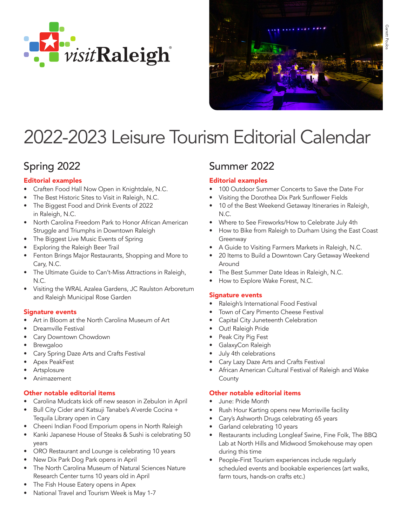



# 2022-2023 Leisure Tourism Editorial Calendar

# Spring 2022

### Editorial examples

- Craften Food Hall Now Open in Knightdale, N.C.
- The Best Historic Sites to Visit in Raleigh, N.C.
- The Biggest Food and Drink Events of 2022 in Raleigh, N.C.
- North Carolina Freedom Park to Honor African American Struggle and Triumphs in Downtown Raleigh
- The Biggest Live Music Events of Spring
- Exploring the Raleigh Beer Trail
- Fenton Brings Major Restaurants, Shopping and More to Cary, N.C.
- The Ultimate Guide to Can't-Miss Attractions in Raleigh, N.C.
- Visiting the WRAL Azalea Gardens, JC Raulston Arboretum and Raleigh Municipal Rose Garden

### Signature events

- Art in Bloom at the North Carolina Museum of Art
- Dreamville Festival
- Cary Downtown Chowdown
- Brewgaloo
- Cary Spring Daze Arts and Crafts Festival
- Apex PeakFest
- **Artsplosure**
- Animazement

### Other notable editorial items

- Carolina Mudcats kick off new season in Zebulon in April
- Bull City Cider and Katsuji Tanabe's A'verde Cocina + Tequila Library open in Cary
- Cheeni Indian Food Emporium opens in North Raleigh
- Kanki Japanese House of Steaks & Sushi is celebrating 50 years
- ORO Restaurant and Lounge is celebrating 10 years
- New Dix Park Dog Park opens in April
- The North Carolina Museum of Natural Sciences Nature Research Center turns 10 years old in April
- The Fish House Eatery opens in Apex
- National Travel and Tourism Week is May 1-7

### Summer 2022

### Editorial examples

- 100 Outdoor Summer Concerts to Save the Date For
- Visiting the Dorothea Dix Park Sunflower Fields
- 10 of the Best Weekend Getaway Itineraries in Raleigh, N.C.
- Where to See Fireworks/How to Celebrate July 4th
- How to Bike from Raleigh to Durham Using the East Coast Greenway
- A Guide to Visiting Farmers Markets in Raleigh, N.C.
- 20 Items to Build a Downtown Cary Getaway Weekend Around
- The Best Summer Date Ideas in Raleigh, N.C.
- How to Explore Wake Forest, N.C.

### Signature events

- Raleigh's International Food Festival
- Town of Cary Pimento Cheese Festival
- Capital City Juneteenth Celebration
- Out! Raleigh Pride
- Peak City Pig Fest
- GalaxyCon Raleigh
- July 4th celebrations
- Cary Lazy Daze Arts and Crafts Festival
- African American Cultural Festival of Raleigh and Wake County

### Other notable editorial items

- June: Pride Month
- Rush Hour Karting opens new Morrisville facility
- Cary's Ashworth Drugs celebrating 65 years
- Garland celebrating 10 years
- Restaurants including Longleaf Swine, Fine Folk, The BBQ Lab at North Hills and Midwood Smokehouse may open during this time
- People-First Tourism experiences include regularly scheduled events and bookable experiences (art walks, farm tours, hands-on crafts etc.)